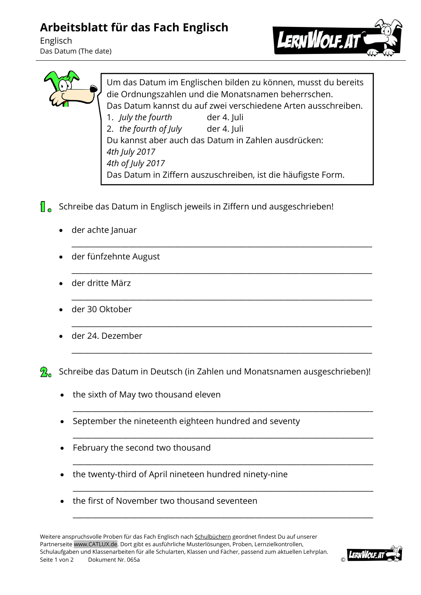## **Arbeitsblatt für das Fach Englisch**

Englisch Das Datum (The date)





Um das Datum im Englischen bilden zu können, musst du bereits die Ordnungszahlen und die Monatsnamen beherrschen. Das Datum kannst du auf zwei verschiedene Arten ausschreiben. 1. *July the fourth* der 4. Juli 2. *the fourth of July* der 4. Juli Du kannst aber auch das Datum in Zahlen ausdrücken: *4th July 2017 4th of July 2017* Das Datum in Ziffern auszuschreiben, ist die häufigste Form.

\_\_\_\_\_\_\_\_\_\_\_\_\_\_\_\_\_\_\_\_\_\_\_\_\_\_\_\_\_\_\_\_\_\_\_\_\_\_\_\_\_\_\_\_\_\_\_\_\_\_\_\_\_\_\_\_\_\_\_\_\_\_\_\_\_\_\_\_\_\_\_\_\_\_\_\_\_\_\_

\_\_\_\_\_\_\_\_\_\_\_\_\_\_\_\_\_\_\_\_\_\_\_\_\_\_\_\_\_\_\_\_\_\_\_\_\_\_\_\_\_\_\_\_\_\_\_\_\_\_\_\_\_\_\_\_\_\_\_\_\_\_\_\_\_\_\_\_\_\_\_\_\_\_\_\_\_\_\_

\_\_\_\_\_\_\_\_\_\_\_\_\_\_\_\_\_\_\_\_\_\_\_\_\_\_\_\_\_\_\_\_\_\_\_\_\_\_\_\_\_\_\_\_\_\_\_\_\_\_\_\_\_\_\_\_\_\_\_\_\_\_\_\_\_\_\_\_\_\_\_\_\_\_\_\_\_\_\_

\_\_\_\_\_\_\_\_\_\_\_\_\_\_\_\_\_\_\_\_\_\_\_\_\_\_\_\_\_\_\_\_\_\_\_\_\_\_\_\_\_\_\_\_\_\_\_\_\_\_\_\_\_\_\_\_\_\_\_\_\_\_\_\_\_\_\_\_\_\_\_\_\_\_\_\_\_\_\_

\_\_\_\_\_\_\_\_\_\_\_\_\_\_\_\_\_\_\_\_\_\_\_\_\_\_\_\_\_\_\_\_\_\_\_\_\_\_\_\_\_\_\_\_\_\_\_\_\_\_\_\_\_\_\_\_\_\_\_\_\_\_\_\_\_\_\_\_\_\_\_\_\_\_\_\_\_\_\_

\_\_\_\_\_\_\_\_\_\_\_\_\_\_\_\_\_\_\_\_\_\_\_\_\_\_\_\_\_\_\_\_\_\_\_\_\_\_\_\_\_\_\_\_\_\_\_\_\_\_\_\_\_\_\_\_\_\_\_\_\_\_\_\_\_\_\_\_\_\_\_\_\_\_\_\_\_\_\_

\_\_\_\_\_\_\_\_\_\_\_\_\_\_\_\_\_\_\_\_\_\_\_\_\_\_\_\_\_\_\_\_\_\_\_\_\_\_\_\_\_\_\_\_\_\_\_\_\_\_\_\_\_\_\_\_\_\_\_\_\_\_\_\_\_\_\_\_\_\_\_\_\_\_\_\_\_\_\_

\_\_\_\_\_\_\_\_\_\_\_\_\_\_\_\_\_\_\_\_\_\_\_\_\_\_\_\_\_\_\_\_\_\_\_\_\_\_\_\_\_\_\_\_\_\_\_\_\_\_\_\_\_\_\_\_\_\_\_\_\_\_\_\_\_\_\_\_\_\_\_\_\_\_\_\_\_\_\_

\_\_\_\_\_\_\_\_\_\_\_\_\_\_\_\_\_\_\_\_\_\_\_\_\_\_\_\_\_\_\_\_\_\_\_\_\_\_\_\_\_\_\_\_\_\_\_\_\_\_\_\_\_\_\_\_\_\_\_\_\_\_\_\_\_\_\_\_\_\_\_\_\_\_\_\_\_\_\_

\_\_\_\_\_\_\_\_\_\_\_\_\_\_\_\_\_\_\_\_\_\_\_\_\_\_\_\_\_\_\_\_\_\_\_\_\_\_\_\_\_\_\_\_\_\_\_\_\_\_\_\_\_\_\_\_\_\_\_\_\_\_\_\_\_\_\_\_\_\_\_\_\_\_\_\_\_\_\_

- $\int_{\mathbb{R}}$  Schreibe das Datum in Englisch jeweils in Ziffern und ausgeschrieben!
	- der achte Januar
	- der fünfzehnte August
	- der dritte März
	- der 30 Oktober
	- der 24. Dezember

 $\mathcal{P}_{\mathbf{a}}$  Schreibe das Datum in Deutsch (in Zahlen und Monatsnamen ausgeschrieben)!

- the sixth of May two thousand eleven
- September the nineteenth eighteen hundred and seventy
- February the second two thousand
- the twenty-third of April nineteen hundred ninety-nine
- the first of November two thousand seventeen